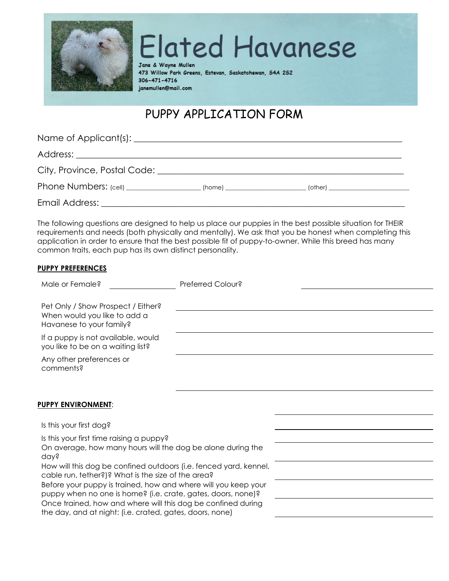

**Elated Havanese** 

Jane & Wayne Mullen 473 Willow Park Greens, Estevan, Saskatchewan, S4A 2S2 306-471-4716 janemullen@mail.com

## PUPPY APPLICATION FORM

| Phone Numbers: (cell) _____________________(home) ______________________(other) ____________________ |  |  |
|------------------------------------------------------------------------------------------------------|--|--|
|                                                                                                      |  |  |

The following questions are designed to help us place our puppies in the best possible situation for THEIR requirements and needs (both physically and mentally). We ask that you be honest when completing this application in order to ensure that the best possible fit of puppy-to-owner. While this breed has many common traits, each pup has its own distinct personality.

## **PUPPY PREFERENCES**

| Male or Female?                                                                                                                                                                                                                                           | Preferred Colour? |  |
|-----------------------------------------------------------------------------------------------------------------------------------------------------------------------------------------------------------------------------------------------------------|-------------------|--|
| Pet Only / Show Prospect / Either?<br>When would you like to add a                                                                                                                                                                                        |                   |  |
| Havanese to your family?                                                                                                                                                                                                                                  |                   |  |
| If a puppy is not available, would<br>you like to be on a waiting list?                                                                                                                                                                                   |                   |  |
| Any other preferences or<br>comments?                                                                                                                                                                                                                     |                   |  |
| <b>PUPPY ENVIRONMENT:</b>                                                                                                                                                                                                                                 |                   |  |
| Is this your first dog?                                                                                                                                                                                                                                   |                   |  |
| Is this your first time raising a puppy?<br>On average, how many hours will the dog be alone during the<br>day?                                                                                                                                           |                   |  |
| How will this dog be confined outdoors (i.e. fenced yard, kennel,<br>cable run, tether?)? What is the size of the area?<br>Before your puppy is trained, how and where will you keep your<br>puppy when no one is home? (i.e. crate, gates, doors, none)? |                   |  |
| Once trained, how and where will this dog be confined during<br>the day, and at night: (i.e. crated, gates, doors, none)                                                                                                                                  |                   |  |